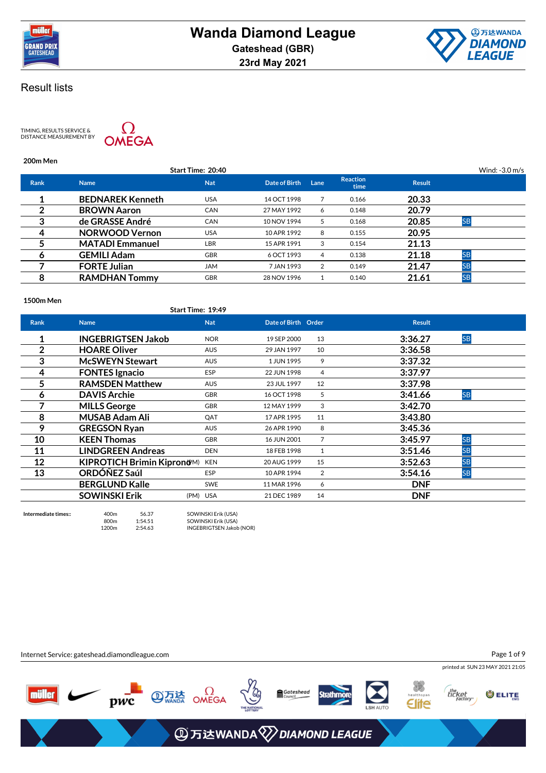



TIMING, RESULTS SERVICE &<br>DISTANCE MEASUREMENT BY



#### **200m Men**

|             |                         | Start Time: 20:40 |               |      |                         |               | Wind: $-3.0$ m/s |
|-------------|-------------------------|-------------------|---------------|------|-------------------------|---------------|------------------|
| <b>Rank</b> | <b>Name</b>             | <b>Nat</b>        | Date of Birth | Lane | <b>Reaction</b><br>time | <b>Result</b> |                  |
|             | <b>BEDNAREK Kenneth</b> | <b>USA</b>        | 14 OCT 1998   |      | 0.166                   | 20.33         |                  |
| າ           | <b>BROWN Aaron</b>      | <b>CAN</b>        | 27 MAY 1992   | 6    | 0.148                   | 20.79         |                  |
| 3           | de GRASSE André         | <b>CAN</b>        | 10 NOV 1994   | 5    | 0.168                   | 20.85         | <b>SB</b>        |
| 4           | NORWOOD Vernon          | <b>USA</b>        | 10 APR 1992   | 8    | 0.155                   | 20.95         |                  |
| 5           | <b>MATADI</b> Emmanuel  | LBR               | 15 APR 1991   | 3    | 0.154                   | 21.13         |                  |
| Ô           | <b>GEMILI Adam</b>      | <b>GBR</b>        | 6 OCT 1993    | 4    | 0.138                   | 21.18         | <b>SB</b>        |
|             | <b>FORTE Julian</b>     | <b>JAM</b>        | 7 JAN 1993    | 2    | 0.149                   | 21.47         | <b>SB</b>        |
| 8           | <b>RAMDHAN Tommy</b>    | <b>GBR</b>        | 28 NOV 1996   |      | 0.140                   | 21.61         | <b>SB</b>        |
|             |                         |                   |               |      |                         |               |                  |

#### **1500m Men**

|                | Start Time: 19:49                             |            |                     |              |               |           |
|----------------|-----------------------------------------------|------------|---------------------|--------------|---------------|-----------|
| <b>Rank</b>    | <b>Name</b>                                   | <b>Nat</b> | Date of Birth Order |              | <b>Result</b> |           |
| 1              | <b>INGEBRIGTSEN Jakob</b>                     | <b>NOR</b> | 19 SEP 2000         | 13           | 3:36.27       | SB        |
| $\overline{2}$ | <b>HOARE Oliver</b>                           | <b>AUS</b> | 29 JAN 1997         | 10           | 3:36.58       |           |
| 3              | <b>McSWEYN Stewart</b>                        | <b>AUS</b> | 1 JUN 1995          | 9            | 3:37.32       |           |
| 4              | <b>FONTES Ignacio</b>                         | <b>ESP</b> | 22 JUN 1998         | 4            | 3:37.97       |           |
| 5              | <b>RAMSDEN Matthew</b>                        | <b>AUS</b> | 23 JUL 1997         | 12           | 3:37.98       |           |
| 6              | <b>DAVIS Archie</b>                           | GBR        | 16 OCT 1998         | 5            | 3:41.66       | <b>SB</b> |
|                | <b>MILLS George</b>                           | <b>GBR</b> | 12 MAY 1999         | 3            | 3:42.70       |           |
| 8              | <b>MUSAB Adam Ali</b>                         | QAT        | 17 APR 1995         | 11           | 3:43.80       |           |
| 9              | <b>GREGSON Ryan</b>                           | <b>AUS</b> | 26 APR 1990         | 8            | 3:45.36       |           |
| 10             | <b>KEEN Thomas</b>                            | <b>GBR</b> | 16 JUN 2001         | 7            | 3:45.97       | <b>SB</b> |
| 11             | <b>LINDGREEN Andreas</b>                      | <b>DEN</b> | 18 FEB 1998         | $\mathbf{1}$ | 3:51.46       | <b>SB</b> |
| 12             | <b>KIPROTICH Brimin Kipron®</b> <sup>M)</sup> | <b>KEN</b> | 20 AUG 1999         | 15           | 3:52.63       | <b>SB</b> |
| 13             | ORDÓÑEZ Saúl                                  | <b>ESP</b> | 10 APR 1994         | 2            | 3:54.16       | <b>SB</b> |
|                | <b>BERGLUND Kalle</b>                         | SWE        | 11 MAR 1996         | 6            | <b>DNF</b>    |           |
|                | <b>SOWINSKI Erik</b>                          | (PM) USA   | 21 DEC 1989         | 14           | <b>DNF</b>    |           |
|                |                                               |            |                     |              |               |           |

**Intermediate times::** 400m 56.37 SOWINSKI Erik (USA)<br>800m 1:54.51 SOWINSKI Erik (USA) 800m 1:54.51 SOWINSKI Erik (USA)<br>1200m 2:54.63 INGEBRIGTSEN Jakob 1200m 2:54.63 INGEBRIGTSEN Jakob (NOR)

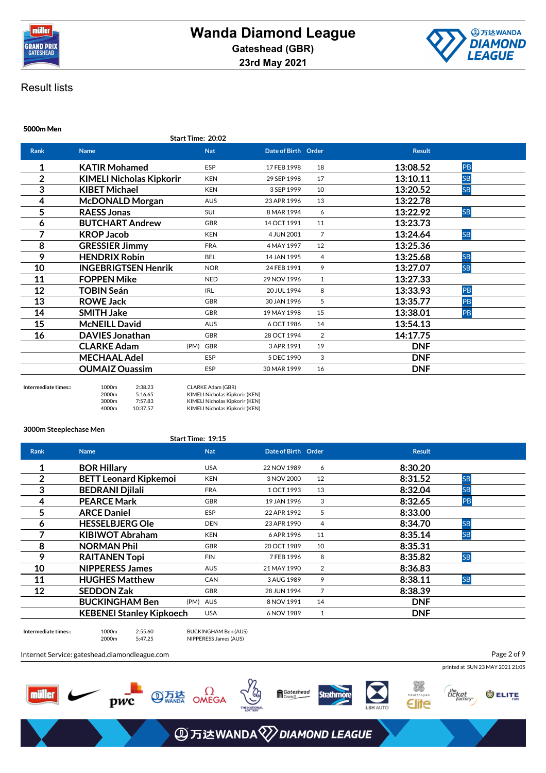



| 5000m Men      |                                 |                   |                     |                |               |           |  |
|----------------|---------------------------------|-------------------|---------------------|----------------|---------------|-----------|--|
|                |                                 | Start Time: 20:02 |                     |                |               |           |  |
| <b>Rank</b>    | <b>Name</b>                     | <b>Nat</b>        | Date of Birth Order |                | <b>Result</b> |           |  |
| 1              | <b>KATIR Mohamed</b>            | ESP               | 17 FEB 1998         | 18             | 13:08.52      | PB        |  |
| $\overline{2}$ | <b>KIMELI Nicholas Kipkorir</b> | <b>KEN</b>        | 29 SEP 1998         | 17             | 13:10.11      | <b>SB</b> |  |
| 3              | <b>KIBET Michael</b>            | <b>KEN</b>        | 3 SEP 1999          | 10             | 13:20.52      | <b>SB</b> |  |
| 4              | <b>McDONALD Morgan</b>          | <b>AUS</b>        | 23 APR 1996         | 13             | 13:22.78      |           |  |
| 5              | <b>RAESS Jonas</b>              | <b>SUI</b>        | 8 MAR 1994          | 6              | 13:22.92      | <b>SB</b> |  |
| 6              | <b>BUTCHART Andrew</b>          | <b>GBR</b>        | 14 OCT 1991         | 11             | 13:23.73      |           |  |
| 7              | <b>KROP Jacob</b>               | <b>KEN</b>        | 4 JUN 2001          | $\overline{7}$ | 13:24.64      | <b>SB</b> |  |
| 8              | <b>GRESSIER Jimmy</b>           | <b>FRA</b>        | 4 MAY 1997          | 12             | 13:25.36      |           |  |
| 9              | <b>HENDRIX Robin</b>            | <b>BEL</b>        | 14 JAN 1995         | 4              | 13:25.68      | <b>SB</b> |  |
| 10             | <b>INGEBRIGTSEN Henrik</b>      | <b>NOR</b>        | 24 FEB 1991         | 9              | 13:27.07      | <b>SB</b> |  |
| 11             | <b>FOPPEN Mike</b>              | <b>NED</b>        | 29 NOV 1996         | $\mathbf{1}$   | 13:27.33      |           |  |
| 12             | <b>TOBIN Seán</b>               | <b>IRL</b>        | 20 JUL 1994         | 8              | 13:33.93      | PB        |  |
| 13             | <b>ROWE Jack</b>                | GBR               | 30 JAN 1996         | 5              | 13:35.77      | PB        |  |
| 14             | <b>SMITH Jake</b>               | <b>GBR</b>        | 19 MAY 1998         | 15             | 13:38.01      | PB        |  |
| 15             | <b>McNEILL David</b>            | <b>AUS</b>        | 6 OCT 1986          | 14             | 13:54.13      |           |  |
| 16             | <b>DAVIES Jonathan</b>          | GBR               | 28 OCT 1994         | $\overline{2}$ | 14:17.75      |           |  |
|                | <b>CLARKE Adam</b>              | (PM) GBR          | 3 APR 1991          | 19             | <b>DNF</b>    |           |  |
|                | <b>MECHAAL Adel</b>             | ESP               | 5 DEC 1990          | 3              | <b>DNF</b>    |           |  |
|                | <b>OUMAIZ Ouassim</b>           | ESP               | 30 MAR 1999         | 16             | <b>DNF</b>    |           |  |
|                |                                 |                   |                     |                |               |           |  |



2000m 5:16.65 KIMELI Nicholas Kipkorir (KEN)<br>2000m 7:57.83 KIMELI Nicholas Kipkorir (KEN) 3000m 7:57.83 KIMELI Nicholas Kipkorir (KEN) 4000m 10:37.57 KIMELI Nicholas Kipkorir (KEN)

**3000m Steeplechase Men**

|                |                                 | Start Time: 19:15 |                     |                |               |           |
|----------------|---------------------------------|-------------------|---------------------|----------------|---------------|-----------|
| <b>Rank</b>    | <b>Name</b>                     | <b>Nat</b>        | Date of Birth Order |                | <b>Result</b> |           |
| 1              | <b>BOR Hillary</b>              | <b>USA</b>        | 22 NOV 1989         | 6              | 8:30.20       |           |
| $\overline{2}$ | <b>BETT Leonard Kipkemoi</b>    | <b>KEN</b>        | 3 NOV 2000          | 12             | 8:31.52       | <b>SB</b> |
| 3              | <b>BEDRANI Djilali</b>          | <b>FRA</b>        | 1 OCT 1993          | 13             | 8:32.04       | <b>SB</b> |
| 4              | <b>PEARCE Mark</b>              | GBR               | 19 JAN 1996         | 3              | 8:32.65       | PB        |
| 5              | <b>ARCE Daniel</b>              | <b>ESP</b>        | 22 APR 1992         | 5              | 8:33.00       |           |
| 6              | <b>HESSELBJERG Ole</b>          | <b>DEN</b>        | 23 APR 1990         | $\overline{4}$ | 8:34.70       | <b>SB</b> |
|                | <b>KIBIWOT Abraham</b>          | <b>KEN</b>        | 6 APR 1996          | 11             | 8:35.14       | <b>SB</b> |
| 8              | <b>NORMAN Phil</b>              | GBR               | 20 OCT 1989         | 10             | 8:35.31       |           |
| 9              | <b>RAITANEN Topi</b>            | <b>FIN</b>        | 7 FEB 1996          | 8              | 8:35.82       | <b>SB</b> |
| 10             | <b>NIPPERESS James</b>          | <b>AUS</b>        | 21 MAY 1990         | $\overline{2}$ | 8:36.83       |           |
| 11             | <b>HUGHES Matthew</b>           | <b>CAN</b>        | 3 AUG 1989          | 9              | 8:38.11       | <b>SB</b> |
| 12             | <b>SEDDON Zak</b>               | <b>GBR</b>        | 28 JUN 1994         | 7              | 8:38.39       |           |
|                | <b>BUCKINGHAM Ben</b>           | (PM) AUS          | 8 NOV 1991          | 14             | <b>DNF</b>    |           |
|                | <b>KEBENEI Stanley Kipkoech</b> | <b>USA</b>        | 6 NOV 1989          | 1              | <b>DNF</b>    |           |

müller

**Intermediate times::** 1000m 2:55.60 BUCKINGHAM Ben (AUS) NIPPERESS James (AUS)

Internet Service: gateshead.diamondleague.com

Page 2 of 9

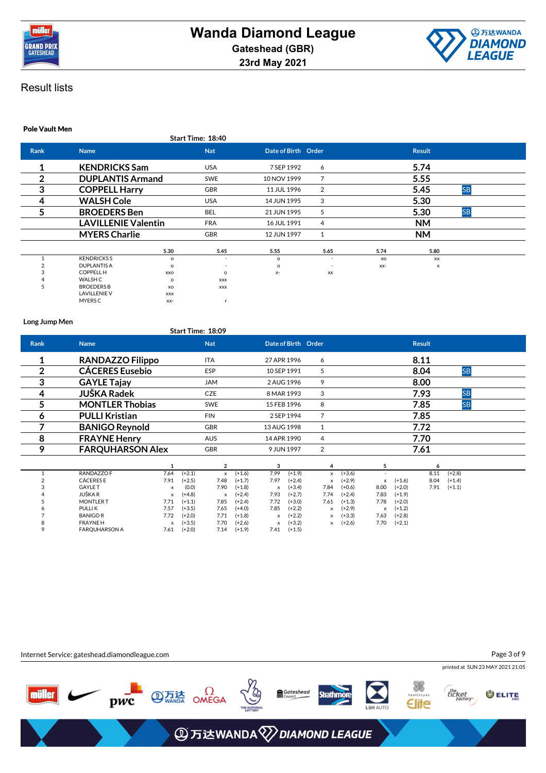



### **Pole Vault Men Start Time: 18:40 Rank Name Nat Date of Birth Order Result 1 KENDRICKS Sam** USA 7 SEP 1992 <sup>6</sup> **5.74 2 DUPLANTIS Armand** SWE 10 NOV 1999 <sup>7</sup> **5.55 3 COPPELL Harry** GBR 11 JUL 1996 <sup>2</sup> **5.45** SB **4 WALSH Cole** USA 14 JUN 1995 <sup>3</sup> **5.30 5 BROEDERS Ben BEL 21 JUN 1995 5 5.30 58 LAVILLENIE Valentin** FRA 16 JUL 1991 <sup>4</sup> **NM MYERS Charlie GBR** 12 JUN 1997 1 **NM 5.30 5.45 5.55 5.65 5.74 5.80** 1 KENDRICKS S o - o - xo xx 2 DUPLANTISA o - o - xx- x 3 COPPELL H xxo o x- xx 4 WALSH C o xxx<br>5 BROEDERS B xo xxx EXAMPLE BROEDERS B XXX XXX XXX LAVILLENIE V xxx MYERS C xx-

#### **Long Jump Men**

**Start Time: 18:09**

| <b>Rank</b>  | <b>Name</b>             |      |          | <b>Nat</b> |          |             | Date of Birth Order |                |          |          |          | <b>Result</b> |           |  |
|--------------|-------------------------|------|----------|------------|----------|-------------|---------------------|----------------|----------|----------|----------|---------------|-----------|--|
| 1            | <b>RANDAZZO Filippo</b> |      |          | <b>ITA</b> |          | 27 APR 1996 |                     | 6              |          |          |          | 8.11          |           |  |
| $\mathbf{2}$ | <b>CÁCERES Eusebio</b>  |      |          | ESP        |          | 10 SEP 1991 |                     | 5              |          |          |          | 8.04          | <b>SB</b> |  |
| 3            | <b>GAYLE Tajay</b>      |      |          | <b>JAM</b> |          |             | 2 AUG 1996          | 9              |          |          |          | 8.00          |           |  |
| 4            | <b>JUŠKA Radek</b>      |      |          | <b>CZE</b> |          |             | 8 MAR 1993          | 3              |          |          |          | 7.93          | <b>SB</b> |  |
| 5            | <b>MONTLER Thobias</b>  |      |          | <b>SWE</b> |          |             | 15 FEB 1996         | 8              |          |          |          | 7.85          | <b>SB</b> |  |
| 6            | <b>PULLI Kristian</b>   |      |          | <b>FIN</b> |          |             | 2 SEP 1994          | 7              |          |          |          | 7.85          |           |  |
| 7            | <b>BANIGO Reynold</b>   |      |          | <b>GBR</b> |          | 13 AUG 1998 |                     | 1              |          |          |          | 7.72          |           |  |
| 8            | <b>FRAYNE Henry</b>     |      |          | <b>AUS</b> |          | 14 APR 1990 |                     | $\overline{4}$ |          |          |          | 7.70          |           |  |
| 9            | <b>FARQUHARSON Alex</b> |      |          | GBR        |          |             | 9 JUN 1997          | $\overline{2}$ |          |          |          | 7.61          |           |  |
|              |                         |      |          | 2          |          | 3           |                     | 4              |          | 5        |          | 6             |           |  |
|              | RANDAZZO F              | 7.64 | $(+2.1)$ | x          | $(+1.6)$ | 7.99        | $(+1.9)$            | x              | $(+3.6)$ |          |          | 8.11          | $(+2.8)$  |  |
|              | <b>CÁCERESE</b>         | 7.91 | $(+2.5)$ | 7.48       | $(+1.7)$ | 7.97        | $(+2.4)$            | x              | $(+2.9)$ | $\times$ | $(+1.6)$ | 8.04          | $(+1.4)$  |  |
|              | <b>GAYLET</b>           | X    | (0.0)    | 7.90       | $(+1.8)$ | X           | $(+3.4)$            | 7.84           | $(+0.6)$ | 8.00     | $(+2.0)$ | 7.91          | $(+1.1)$  |  |
|              | <b>JUŠKA R</b>          | X    | $(+4.8)$ | X          | $(+2.4)$ | 7.93        | $(+2.7)$            | 7.74           | $(+2.4)$ | 7.83     | $(+1.9)$ |               |           |  |
|              | <b>MONTLER T</b>        | 7.71 | $(+1.1)$ | 7.85       | $(+2.4)$ | 7.72        | $(+3.0)$            | 7.61           | $(+1.3)$ | 7.78     | $(+2.0)$ |               |           |  |
|              | PULLIK                  | 7.57 | $(+3.5)$ | 7.65       | $(+4.0)$ | 7.85        | $(+2.2)$            |                | $(+2.9)$ | x        | $(+1.2)$ |               |           |  |
|              | <b>BANIGOR</b>          | 7.72 | $(+2.0)$ | 7.71       | $(+1.8)$ | X           | $(+2.2)$            | x              | $(+3.3)$ | 7.63     | $(+2.8)$ |               |           |  |
|              | <b>FRAYNEH</b>          | X    | $(+3.5)$ | 7.70       | $(+2.6)$ |             | $(+3.2)$            | x              | $(+2.6)$ | 7.70     | $(+2.1)$ |               |           |  |
| $\circ$      | <b>FAROUHARSON A</b>    | 7.61 | $(+2.0)$ | 7.14       | $(+1.9)$ | 7.41        | $(+1.5)$            |                |          |          |          |               |           |  |

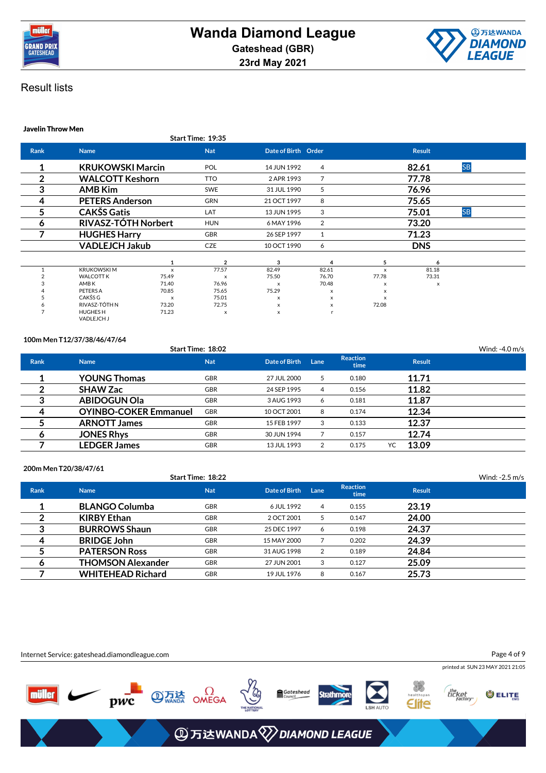



### **Javelin Throw Men**

|                |                               |          | Start Time: 19:35 |                           |                |                           |               |           |  |
|----------------|-------------------------------|----------|-------------------|---------------------------|----------------|---------------------------|---------------|-----------|--|
| Rank           | <b>Name</b>                   |          | <b>Nat</b>        | Date of Birth Order       |                |                           | <b>Result</b> |           |  |
| 1              | <b>KRUKOWSKI Marcin</b>       |          | <b>POL</b>        | 14 JUN 1992               | $\overline{4}$ |                           | 82.61         | <b>SB</b> |  |
| $\overline{2}$ | <b>WALCOTT Keshorn</b>        |          | <b>TTO</b>        | 2 APR 1993                | $\overline{7}$ |                           | 77.78         |           |  |
| 3              | <b>AMB Kim</b>                |          | <b>SWE</b>        | 31 JUL 1990               | 5              |                           | 76.96         |           |  |
| 4              | <b>PETERS Anderson</b>        |          | <b>GRN</b>        | 21 OCT 1997               | 8              |                           | 75.65         |           |  |
| 5              | <b>CAKŠS Gatis</b>            |          | LAT               | 13 JUN 1995               | 3              |                           | 75.01         | SB        |  |
| 6              | RIVASZ-TÓTH Norbert           |          | <b>HUN</b>        | 6 MAY 1996                | $\overline{2}$ |                           | 73.20         |           |  |
| 7              | <b>HUGHES Harry</b>           |          | <b>GBR</b>        | 26 SEP 1997               | $\mathbf{1}$   |                           | 71.23         |           |  |
|                | <b>VADLEJCH Jakub</b>         |          | <b>CZE</b>        | 10 OCT 1990               | 6              |                           | <b>DNS</b>    |           |  |
|                |                               | 1        | $\overline{2}$    | 3                         | 4              | 5                         | 6             |           |  |
|                | <b>KRUKOWSKIM</b>             | $\times$ | 77.57             | 82.49                     | 82.61          | $\times$                  | 81.18         |           |  |
|                | <b>WALCOTT K</b>              | 75.49    | $\times$          | 75.50                     | 76.70          | 77.78                     | 73.31         |           |  |
| 3              | AMB K                         | 71.40    | 76.96             | $\boldsymbol{\mathsf{x}}$ | 70.48          | $\boldsymbol{\mathsf{x}}$ | x             |           |  |
|                | PETERS A                      | 70.85    | 75.65             | 75.29                     | $\mathsf{x}$   | $\boldsymbol{\mathsf{x}}$ |               |           |  |
|                | CAKŠS G                       | x        | 75.01             | x                         | x              | $\boldsymbol{\mathsf{x}}$ |               |           |  |
|                | RIVASZ-TÓTH N                 | 73.20    | 72.75             | x                         | x              | 72.08                     |               |           |  |
|                | <b>HUGHES H</b><br>VADLEJCH J | 71.23    | x                 | x                         | r              |                           |               |           |  |

#### **100m Men T12/37/38/46/47/64**

|             |                              | Start Time: 18:02 |               |      |                         |    |               | Wind: $-4.0 \text{ m/s}$ |
|-------------|------------------------------|-------------------|---------------|------|-------------------------|----|---------------|--------------------------|
| <b>Rank</b> | <b>Name</b>                  | <b>Nat</b>        | Date of Birth | Lane | <b>Reaction</b><br>time |    | <b>Result</b> |                          |
|             | <b>YOUNG Thomas</b>          | <b>GBR</b>        | 27 JUL 2000   | 5    | 0.180                   |    | 11.71         |                          |
|             | <b>SHAW Zac</b>              | <b>GBR</b>        | 24 SEP 1995   | 4    | 0.156                   |    | 11.82         |                          |
| 3           | <b>ABIDOGUN Ola</b>          | <b>GBR</b>        | 3 AUG 1993    | 6    | 0.181                   |    | 11.87         |                          |
| 4           | <b>OYINBO-COKER Emmanuel</b> | <b>GBR</b>        | 10 OCT 2001   | 8    | 0.174                   |    | 12.34         |                          |
|             | <b>ARNOTT James</b>          | <b>GBR</b>        | 15 FEB 1997   | 3    | 0.133                   |    | 12.37         |                          |
| O           | <b>JONES Rhys</b>            | <b>GBR</b>        | 30 JUN 1994   |      | 0.157                   |    | 12.74         |                          |
|             | <b>LEDGER James</b>          | <b>GBR</b>        | 13 JUL 1993   | 2    | 0.175                   | YC | 13.09         |                          |

### **200m Men T20/38/47/61**

|             |                          | Start Time: 18:22 |               |                |                         |               | Wind: $-2.5$ m/s |
|-------------|--------------------------|-------------------|---------------|----------------|-------------------------|---------------|------------------|
| <b>Rank</b> | <b>Name</b>              | <b>Nat</b>        | Date of Birth | Lane           | <b>Reaction</b><br>time | <b>Result</b> |                  |
|             | <b>BLANGO Columba</b>    | <b>GBR</b>        | 6 JUL 1992    | $\overline{4}$ | 0.155                   | 23.19         |                  |
| 2           | <b>KIRBY Ethan</b>       | <b>GBR</b>        | 2 OCT 2001    | 5              | 0.147                   | 24.00         |                  |
| 3           | <b>BURROWS Shaun</b>     | <b>GBR</b>        | 25 DEC 1997   | 6              | 0.198                   | 24.37         |                  |
| 4           | <b>BRIDGE John</b>       | <b>GBR</b>        | 15 MAY 2000   |                | 0.202                   | 24.39         |                  |
|             | <b>PATERSON Ross</b>     | <b>GBR</b>        | 31 AUG 1998   | 2              | 0.189                   | 24.84         |                  |
| $\circ$     | <b>THOMSON Alexander</b> | <b>GBR</b>        | 27 JUN 2001   | 3              | 0.127                   | 25.09         |                  |
|             | <b>WHITEHEAD Richard</b> | <b>GBR</b>        | 19 JUL 1976   | 8              | 0.167                   | 25.73         |                  |

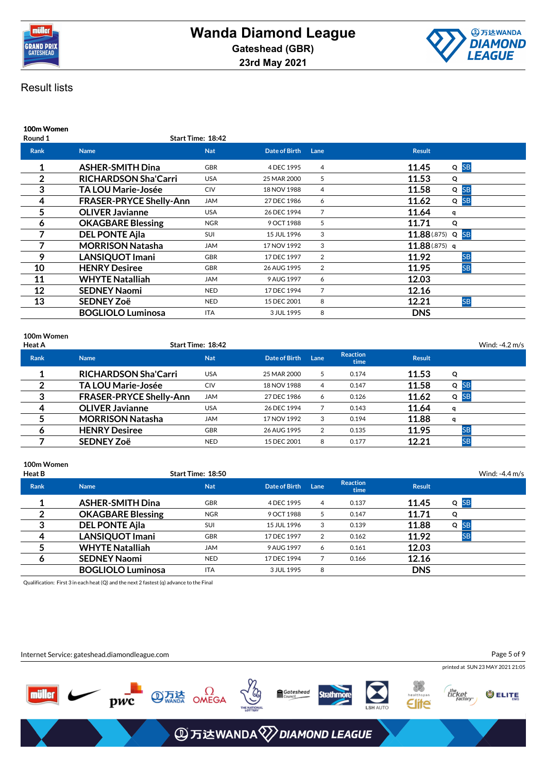



| 100m Women     |                                |                   |                      |                |                      |
|----------------|--------------------------------|-------------------|----------------------|----------------|----------------------|
| Round 1        |                                | Start Time: 18:42 |                      |                |                      |
| Rank           | <b>Name</b>                    | <b>Nat</b>        | <b>Date of Birth</b> | Lane           | <b>Result</b>        |
| 1              | <b>ASHER-SMITH Dina</b>        | <b>GBR</b>        | 4 DEC 1995           | 4              | Q SB<br>11.45        |
| $\overline{2}$ | <b>RICHARDSON Sha'Carri</b>    | <b>USA</b>        | 25 MAR 2000          | 5              | 11.53<br>Q           |
| 3              | <b>TA LOU Marie-Josée</b>      | <b>CIV</b>        | 18 NOV 1988          | 4              | Q SB<br>11.58        |
| 4              | <b>FRASER-PRYCE Shelly-Ann</b> | <b>JAM</b>        | 27 DEC 1986          | 6              | Q SB<br>11.62        |
| 5              | <b>OLIVER Javianne</b>         | <b>USA</b>        | 26 DEC 1994          | $\overline{7}$ | 11.64<br>q           |
| 6              | <b>OKAGBARE Blessing</b>       | <b>NGR</b>        | 9 OCT 1988           | 5              | 11.71<br>Q           |
|                | <b>DEL PONTE Ajla</b>          | <b>SUI</b>        | 15 JUL 1996          | 3              | 11.88 (.875)<br>Q SB |
|                | <b>MORRISON Natasha</b>        | <b>JAM</b>        | 17 NOV 1992          | 3              | $11.88(0.875)$ q     |
| 9              | <b>LANSIQUOT Imani</b>         | <b>GBR</b>        | 17 DEC 1997          | 2              | <b>SB</b><br>11.92   |
| 10             | <b>HENRY Desiree</b>           | <b>GBR</b>        | 26 AUG 1995          | $\overline{2}$ | <b>SB</b><br>11.95   |
| 11             | <b>WHYTE Natalliah</b>         | <b>JAM</b>        | 9 AUG 1997           | 6              | 12.03                |
| 12             | <b>SEDNEY Naomi</b>            | <b>NED</b>        | 17 DEC 1994          | 7              | 12.16                |
| 13             | <b>SEDNEY Zoë</b>              | <b>NED</b>        | 15 DEC 2001          | 8              | 12.21<br><b>SB</b>   |
|                | <b>BOGLIOLO Luminosa</b>       | <b>ITA</b>        | 3 JUL 1995           | 8              | <b>DNS</b>           |

### **100m Women Heat A Start Time: 18:42** Wind: -4.2 m/s **Rank Name Nat Date of Birth Lane Reaction time Result 1 RICHARDSON Sha'Carri** USA 25 MAR 2000 <sup>5</sup> 0.174 **11.53 Q 2 TA LOU Marie-Josée** CIV 18 NOV 1988 <sup>4</sup> 0.147 **11.58 Q** SB **3 FRASER-PRYCE Shelly-Ann** JAM 27 DEC 1986 <sup>6</sup> 0.126 **11.62 <sup>Q</sup>** SB **4 OLIVER Javianne** USA 26 DEC 1994 <sup>7</sup> 0.143 **11.64 <sup>q</sup> 5 MORRISON Natasha** JAM 17 NOV 1992 <sup>3</sup> 0.194 **11.88 <sup>q</sup> 6 HENRY Desiree** GBR 26 AUG 1995 <sup>2</sup> 0.135 **11.95** SB **7 SEDNEY Zoë** NED 15 DEC 2001 <sup>8</sup> 0.177 **12.21** SB

| 100m Women<br><b>Heat B</b> |                          | Start Time: 18:50 |               |      |                         |               |                | Wind: $-4.4$ m/s |
|-----------------------------|--------------------------|-------------------|---------------|------|-------------------------|---------------|----------------|------------------|
| Rank                        | <b>Name</b>              | <b>Nat</b>        | Date of Birth | Lane | <b>Reaction</b><br>time | <b>Result</b> |                |                  |
|                             | <b>ASHER-SMITH Dina</b>  | <b>GBR</b>        | 4 DEC 1995    | 4    | 0.137                   | 11.45         | <b>SB</b><br>Q |                  |
| 2                           | <b>OKAGBARE Blessing</b> | <b>NGR</b>        | 9 OCT 1988    | 5    | 0.147                   | 11.71         | Q              |                  |
| 3                           | <b>DEL PONTE Ajla</b>    | <b>SUI</b>        | 15 JUL 1996   | 3    | 0.139                   | 11.88         | <b>SB</b><br>Q |                  |
| 4                           | <b>LANSIQUOT Imani</b>   | <b>GBR</b>        | 17 DEC 1997   | 2    | 0.162                   | 11.92         | <b>SB</b>      |                  |
|                             | <b>WHYTE Natalliah</b>   | <b>JAM</b>        | 9 AUG 1997    | 6    | 0.161                   | 12.03         |                |                  |
| 6                           | <b>SEDNEY Naomi</b>      | <b>NED</b>        | 17 DEC 1994   |      | 0.166                   | 12.16         |                |                  |
|                             | <b>BOGLIOLO Luminosa</b> | <b>ITA</b>        | 3 JUL 1995    | 8    |                         | <b>DNS</b>    |                |                  |

Qualification: First 3 in each heat (Q) and the next 2 fastest (q) advance to the Final

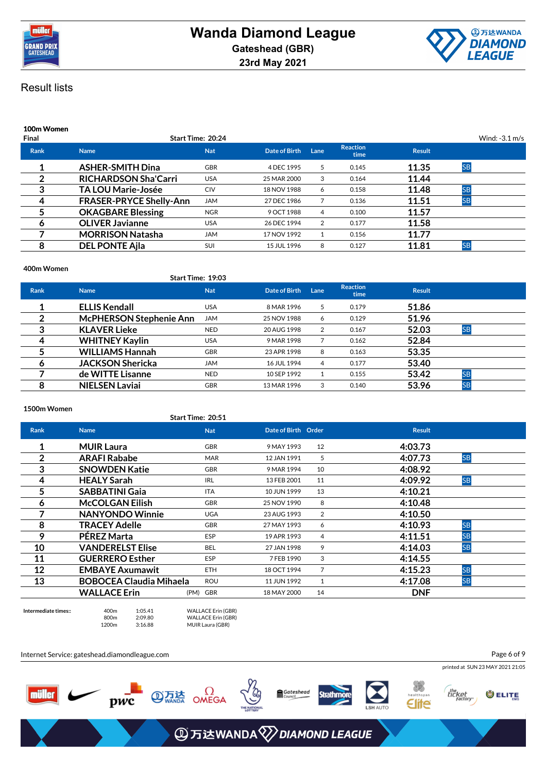



| 100m Women<br>Final |                                | Start Time: 20:24 |               |      |                         |               |           | Wind: $-3.1$ m/s |
|---------------------|--------------------------------|-------------------|---------------|------|-------------------------|---------------|-----------|------------------|
| <b>Rank</b>         | <b>Name</b>                    | <b>Nat</b>        | Date of Birth | Lane | <b>Reaction</b><br>time | <b>Result</b> |           |                  |
|                     | <b>ASHER-SMITH Dina</b>        | <b>GBR</b>        | 4 DEC 1995    | 5    | 0.145                   | 11.35         | <b>SB</b> |                  |
| $\overline{2}$      | <b>RICHARDSON Sha'Carri</b>    | <b>USA</b>        | 25 MAR 2000   | 3    | 0.164                   | 11.44         |           |                  |
| 3                   | <b>TA LOU Marie-Josée</b>      | <b>CIV</b>        | 18 NOV 1988   | 6    | 0.158                   | 11.48         | <b>SB</b> |                  |
| 4                   | <b>FRASER-PRYCE Shelly-Ann</b> | <b>JAM</b>        | 27 DEC 1986   |      | 0.136                   | 11.51         | <b>SB</b> |                  |
|                     | <b>OKAGBARE Blessing</b>       | <b>NGR</b>        | 9 OCT 1988    | 4    | 0.100                   | 11.57         |           |                  |
| 6                   | <b>OLIVER Javianne</b>         | <b>USA</b>        | 26 DEC 1994   | 2    | 0.177                   | 11.58         |           |                  |
|                     | <b>MORRISON Natasha</b>        | <b>JAM</b>        | 17 NOV 1992   |      | 0.156                   | 11.77         |           |                  |
| 8                   | <b>DEL PONTE Aila</b>          | <b>SUI</b>        | 15 JUL 1996   | 8    | 0.127                   | 11.81         | <b>SB</b> |                  |

#### **400m Women**

|             | Start Time: 19:03              |            |               |      |                         |               |           |  |
|-------------|--------------------------------|------------|---------------|------|-------------------------|---------------|-----------|--|
| <b>Rank</b> | <b>Name</b>                    | <b>Nat</b> | Date of Birth | Lane | <b>Reaction</b><br>time | <b>Result</b> |           |  |
|             | <b>ELLIS Kendall</b>           | <b>USA</b> | 8 MAR 1996    | 5    | 0.179                   | 51.86         |           |  |
| 2           | <b>McPHERSON Stephenie Ann</b> | <b>JAM</b> | 25 NOV 1988   | 6    | 0.129                   | 51.96         |           |  |
| 3           | <b>KLAVER Lieke</b>            | <b>NED</b> | 20 AUG 1998   | 2    | 0.167                   | 52.03         | <b>SB</b> |  |
| -4          | <b>WHITNEY Kaylin</b>          | <b>USA</b> | 9 MAR 1998    |      | 0.162                   | 52.84         |           |  |
|             | <b>WILLIAMS Hannah</b>         | <b>GBR</b> | 23 APR 1998   | 8    | 0.163                   | 53.35         |           |  |
| 6           | <b>JACKSON Shericka</b>        | <b>JAM</b> | 16 JUL 1994   | 4    | 0.177                   | 53.40         |           |  |
|             | de WITTE Lisanne               | <b>NED</b> | 10 SEP 1992   |      | 0.155                   | 53.42         | <b>SB</b> |  |
| 8           | <b>NIELSEN Laviai</b>          | <b>GBR</b> | 13 MAR 1996   | 3    | 0.140                   | 53.96         | <b>SB</b> |  |

#### **1500m Women**

**Start Time: 20:51**

| <b>Rank</b>    | <b>Name</b>                    | <b>Nat</b> | Date of Birth Order |                | <b>Result</b>        |
|----------------|--------------------------------|------------|---------------------|----------------|----------------------|
| 1              | <b>MUIR Laura</b>              | <b>GBR</b> | 9 MAY 1993          | 12             | 4:03.73              |
| $\overline{2}$ | <b>ARAFI Rababe</b>            | <b>MAR</b> | 12 JAN 1991         | 5              | <b>SB</b><br>4:07.73 |
| 3              | <b>SNOWDEN Katie</b>           | <b>GBR</b> | 9 MAR 1994          | 10             | 4:08.92              |
| 4              | <b>HEALY Sarah</b>             | IRL        | 13 FEB 2001         | 11             | SB<br>4:09.92        |
| 5              | <b>SABBATINI Gaia</b>          | <b>ITA</b> | 10 JUN 1999         | 13             | 4:10.21              |
| 6              | <b>McCOLGAN Eilish</b>         | <b>GBR</b> | 25 NOV 1990         | 8              | 4:10.48              |
| 7              | <b>NANYONDO Winnie</b>         | <b>UGA</b> | 23 AUG 1993         | $\overline{2}$ | 4:10.50              |
| 8              | <b>TRACEY Adelle</b>           | <b>GBR</b> | 27 MAY 1993         | 6              | <b>SB</b><br>4:10.93 |
| 9              | <b>PEREZ Marta</b>             | ESP        | 19 APR 1993         | $\overline{4}$ | 4:11.51<br><b>SB</b> |
| 10             | <b>VANDERELST Elise</b>        | BEL        | 27 JAN 1998         | 9              | 4:14.03<br><b>SB</b> |
| 11             | <b>GUERRERO Esther</b>         | <b>ESP</b> | 7 FEB 1990          | 3              | 4:14.55              |
| 12             | <b>EMBAYE Axumawit</b>         | ETH.       | 18 OCT 1994         | 7              | <b>SB</b><br>4:15.23 |
| 13             | <b>BOBOCEA Claudia Mihaela</b> | <b>ROU</b> | 11 JUN 1992         | 1              | <b>SB</b><br>4:17.08 |
|                | <b>WALLACE Erin</b><br>(PM)    | GBR        | 18 MAY 2000         | 14             | <b>DNF</b>           |
|                |                                |            |                     |                |                      |

**Intermediate times::** 400m 1:05.41 WALLACE Erin (GBR) WALLACE Erin (GBR) 1200m 3:16.88 MUIR Laura (GBR)

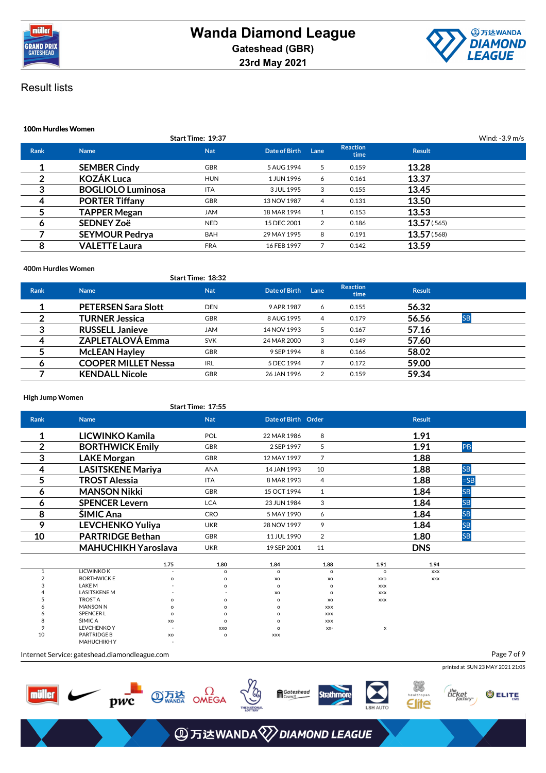



| 100m Hurdles Women |                          |                   |               |      |                         |               |                  |  |  |  |
|--------------------|--------------------------|-------------------|---------------|------|-------------------------|---------------|------------------|--|--|--|
|                    |                          | Start Time: 19:37 |               |      |                         |               | Wind: $-3.9$ m/s |  |  |  |
| <b>Rank</b>        | <b>Name</b>              | <b>Nat</b>        | Date of Birth | Lane | <b>Reaction</b><br>time | <b>Result</b> |                  |  |  |  |
|                    | <b>SEMBER Cindy</b>      | <b>GBR</b>        | 5 AUG 1994    | 5    | 0.159                   | 13.28         |                  |  |  |  |
| 2                  | <b>KOZÁK Luca</b>        | <b>HUN</b>        | 1 JUN 1996    | 6    | 0.161                   | 13.37         |                  |  |  |  |
| 3                  | <b>BOGLIOLO Luminosa</b> | <b>ITA</b>        | 3 JUL 1995    | 3    | 0.155                   | 13.45         |                  |  |  |  |
| 4                  | <b>PORTER Tiffany</b>    | <b>GBR</b>        | 13 NOV 1987   | 4    | 0.131                   | 13.50         |                  |  |  |  |
|                    | <b>TAPPER Megan</b>      | <b>JAM</b>        | 18 MAR 1994   |      | 0.153                   | 13.53         |                  |  |  |  |
| 6                  | <b>SEDNEY Zoë</b>        | <b>NED</b>        | 15 DEC 2001   | 2    | 0.186                   | 13.57(0.565)  |                  |  |  |  |
|                    | <b>SEYMOUR Pedrya</b>    | <b>BAH</b>        | 29 MAY 1995   | 8    | 0.191                   | 13.57 (.568)  |                  |  |  |  |
| 8                  | <b>VALETTE Laura</b>     | <b>FRA</b>        | 16 FEB 1997   |      | 0.142                   | 13.59         |                  |  |  |  |

### **400m Hurdles Women**

|             |                            | Start Time: 18:32 |               |      |                         |               |           |  |
|-------------|----------------------------|-------------------|---------------|------|-------------------------|---------------|-----------|--|
| <b>Rank</b> | <b>Name</b>                | <b>Nat</b>        | Date of Birth | Lane | <b>Reaction</b><br>time | <b>Result</b> |           |  |
|             | <b>PETERSEN Sara Slott</b> | <b>DEN</b>        | 9 APR 1987    | 6    | 0.155                   | 56.32         |           |  |
| 2           | <b>TURNER Jessica</b>      | <b>GBR</b>        | 8 AUG 1995    | 4    | 0.179                   | 56.56         | <b>SB</b> |  |
| 3           | <b>RUSSELL Janieve</b>     | <b>JAM</b>        | 14 NOV 1993   | 5    | 0.167                   | 57.16         |           |  |
| 4           | <b>ZAPLETALOVÁ Emma</b>    | <b>SVK</b>        | 24 MAR 2000   | 3    | 0.149                   | 57.60         |           |  |
|             | <b>McLEAN Hayley</b>       | <b>GBR</b>        | 9 SEP 1994    | 8    | 0.166                   | 58.02         |           |  |
| 6           | <b>COOPER MILLET Nessa</b> | <b>IRL</b>        | 5 DEC 1994    |      | 0.172                   | 59.00         |           |  |
|             | <b>KENDALL Nicole</b>      | <b>GBR</b>        | 26 JAN 1996   | 2    | 0.159                   | 59.34         |           |  |

### **High Jump Women**

**Start Time: 17:55**

| <b>Rank</b> | <b>Name</b>                | <b>Nat</b> | Date of Birth Order |    | <b>Result</b>     |
|-------------|----------------------------|------------|---------------------|----|-------------------|
| 4           | <b>LICWINKO Kamila</b>     | <b>POL</b> | 22 MAR 1986         | 8  | 1.91              |
| 2           | <b>BORTHWICK Emily</b>     | <b>GBR</b> | 2 SEP 1997          | 5  | 1.91<br>PB        |
| 3           | <b>LAKE Morgan</b>         | <b>GBR</b> | 12 MAY 1997         |    | 1.88              |
| 4           | <b>LASITSKENE Mariya</b>   | <b>ANA</b> | 14 JAN 1993         | 10 | 1.88<br><b>SB</b> |
|             | <b>TROST Alessia</b>       | <b>ITA</b> | 8 MAR 1993          | 4  | $=$ SB<br>1.88    |
| 6           | <b>MANSON Nikki</b>        | <b>GBR</b> | 15 OCT 1994         |    | 1.84<br><b>SB</b> |
| 6           | <b>SPENCER Levern</b>      | <b>LCA</b> | 23 JUN 1984         | 3  | <b>SB</b><br>1.84 |
| 8           | ŠIMIC Ana                  | <b>CRO</b> | 5 MAY 1990          | 6  | 1.84<br><b>SB</b> |
| 9           | <b>LEVCHENKO Yuliya</b>    | <b>UKR</b> | 28 NOV 1997         | 9  | <b>SB</b><br>1.84 |
| 10          | <b>PARTRIDGE Bethan</b>    | <b>GBR</b> | 11 JUL 1990         | 2  | <b>SB</b><br>1.80 |
|             | <b>MAHUCHIKH Yaroslava</b> | <b>UKR</b> | 19 SEP 2001         | 11 | <b>DNS</b>        |
|             |                            |            |                     |    |                   |

|    |                     | 1.75                     | 1.80    | 1.84    | 1.88       | 1.91       | 1.94 |
|----|---------------------|--------------------------|---------|---------|------------|------------|------|
|    | <b>LICWINKO K</b>   | $\overline{\phantom{a}}$ | $\circ$ | $\circ$ | $\circ$    | $\circ$    | XXX  |
|    | <b>BORTHWICK E</b>  | $\circ$                  | $\circ$ | xo      | XO         | XXO        | XXX  |
|    | LAKE M              | $\overline{\phantom{a}}$ | $\circ$ | $\circ$ | $\circ$    | <b>XXX</b> |      |
|    | <b>LASITSKENE M</b> | $\overline{\phantom{a}}$ | $\sim$  | XO      | $\circ$    | <b>XXX</b> |      |
|    | <b>TROST A</b>      | $\circ$                  | $\circ$ | $\circ$ | XO         | <b>XXX</b> |      |
|    | <b>MANSON N</b>     | $\circ$                  | $\circ$ | $\circ$ | XXX        |            |      |
|    | SPENCER L           | $\circ$                  | $\circ$ | $\circ$ | XXX        |            |      |
|    | ŠIMIC A             | XO                       | $\circ$ | $\circ$ | <b>XXX</b> |            |      |
|    | <b>LEVCHENKOY</b>   | $\overline{\phantom{a}}$ | XXO     | $\circ$ | XX-        | v          |      |
| 10 | <b>PARTRIDGE B</b>  | XO                       | $\circ$ | XXX     |            |            |      |
|    | MAHUCHIKH Y         | $\overline{\phantom{a}}$ |         |         |            |            |      |

Internet Service: gateshead.diamondleague.com

müller

Page 7 of 9

**Ö** ELITE

printed at SUN 23 MAY 2021 21:05

the<br>ticket<br>factory\*

Elite

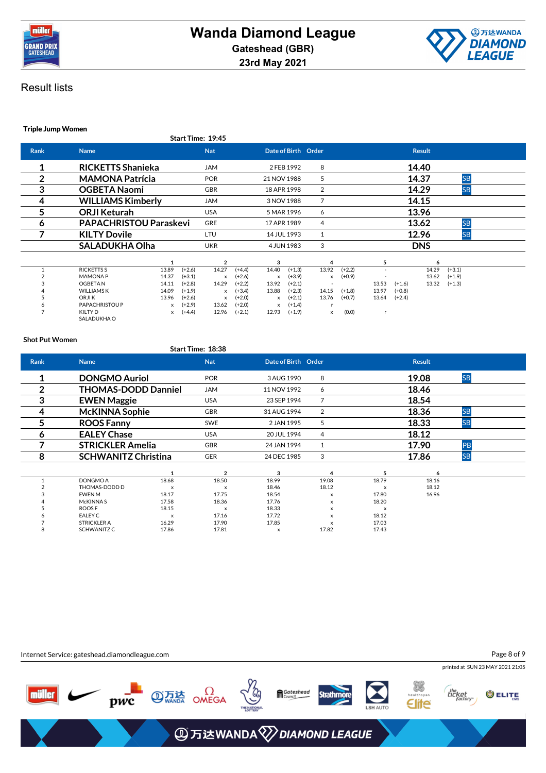



### **Triple Jump Women Start Time: 19:45 Rank Name Nat Date of Birth Order Result 1 RICKETTS Shanieka** JAM 2 FEB 1992 <sup>8</sup> **14.40 2 MAMONA Patrícia** POR 21 NOV 1988 <sup>5</sup> **14.37** SB **3 OGBETA Naomi** GBR 18 APR 1998 <sup>2</sup> **14.29** SB **4 WILLIAMS Kimberly** JAM 3 NOV 1988 <sup>7</sup> **14.15 5 ORJI Keturah** USA 5 MAR 1996 <sup>6</sup> **13.96 6 PAPACHRISTOU Paraskevi** GRE 17 APR 1989 <sup>4</sup> **13.62** SB **7 KILTY Dovile 14 JUL 1993 1 12.96** SB **SALADUKHA Olha** UKR 4 JUN 1983 3 **DNS 1 2 3 4 5 6** 1 RICKETTS S 13.89 (+2.6) 14.27 (+4.4) 14.40 (+1.3) 13.92 (+2.2) - 14.29 (+3.1) 2 MAMONA P 14.37 (+3.1) <sup>x</sup> (+2.6) <sup>x</sup> (+3.9) <sup>x</sup> (+0.9) - 13.62 (+1.9) 3 OGBETA N 14.11 (+2.8) 14.29 (+2.2) 13.92 (+2.1) - 13.53 (+1.6) 13.32 (+1.3) 4 WILLIAMS K 14.09 (+1.9) <sup>x</sup> (+3.4) 13.88 (+2.3) 14.15 (+1.8) 13.97 (+0.8) 5 ORJI K 13.96 (+2.6) <sup>x</sup> (+2.0) <sup>x</sup> (+2.1) 13.76 (+0.7) 13.64 (+2.4) 6 PAPACHRISTOU P <sup>x</sup> (+2.9) 13.62 (+2.0) <sup>x</sup> (+1.4) <sup>r</sup> 7 KILTY D <sup>x</sup> (+4.4) 12.96 (+2.1) 12.93 (+1.9) <sup>x</sup> (0.0) <sup>r</sup> SALADUKHA O

#### **Shot Put Women**

|                | Start Time: 18:38          |                           |                |                     |                |       |               |           |  |  |
|----------------|----------------------------|---------------------------|----------------|---------------------|----------------|-------|---------------|-----------|--|--|
| Rank           | <b>Name</b>                |                           | <b>Nat</b>     | Date of Birth Order |                |       | <b>Result</b> |           |  |  |
| 1              | <b>DONGMO Auriol</b>       |                           | <b>POR</b>     | 3 AUG 1990          | 8              |       | 19.08         | <b>SB</b> |  |  |
| $\overline{2}$ | <b>THOMAS-DODD Danniel</b> |                           | <b>JAM</b>     | 11 NOV 1992         | 6              |       | 18.46         |           |  |  |
| 3              | <b>EWEN Maggie</b>         |                           | <b>USA</b>     | 23 SEP 1994         | $\overline{7}$ |       | 18.54         |           |  |  |
| 4              | <b>McKINNA Sophie</b>      |                           | GBR            | 31 AUG 1994         | 2              |       | 18.36         | <b>SB</b> |  |  |
| 5              | <b>ROOS Fanny</b>          |                           | <b>SWE</b>     | 2 JAN 1995          | 5              |       | 18.33         | <b>SB</b> |  |  |
| 6              | <b>EALEY Chase</b>         |                           | <b>USA</b>     | 20 JUL 1994         | 4              |       | 18.12         |           |  |  |
|                | <b>STRICKLER Amelia</b>    |                           | <b>GBR</b>     | 24 JAN 1994         | 1              |       | 17.90         | PB        |  |  |
| 8              | <b>SCHWANITZ Christina</b> |                           | GER            | 24 DEC 1985         | 3              |       | 17.86         | <b>SB</b> |  |  |
|                |                            | 1                         | $\overline{2}$ | 3                   | 4              | 5     | 6             |           |  |  |
|                | DONGMO A                   | 18.68                     | 18.50          | 18.99               | 19.08          | 18.79 | 18.16         |           |  |  |
|                | THOMAS-DODD D              | $\boldsymbol{\mathsf{x}}$ | x              | 18.46               | 18.12          | x     | 18.12         |           |  |  |
|                | <b>EWEN M</b>              | 18.17                     | 17.75          | 18.54               | $\mathsf{x}$   | 17.80 | 16.96         |           |  |  |
|                | McKINNA S                  | 17.58                     | 18.36          | 17.76               | x              | 18.20 |               |           |  |  |
|                | ROOS F                     | 18.15                     | х              | 18.33               | $\mathsf{x}$   | x     |               |           |  |  |
|                | <b>EALEY C</b>             | $\boldsymbol{\mathsf{x}}$ | 17.16          | 17.72               | X              | 18.12 |               |           |  |  |
|                | <b>STRICKLER A</b>         | 16.29                     | 17.90          | 17.85               |                | 17.03 |               |           |  |  |
| 8              | SCHWANITZ C                | 17.86                     | 17.81          | $\times$            | 17.82          | 17.43 |               |           |  |  |